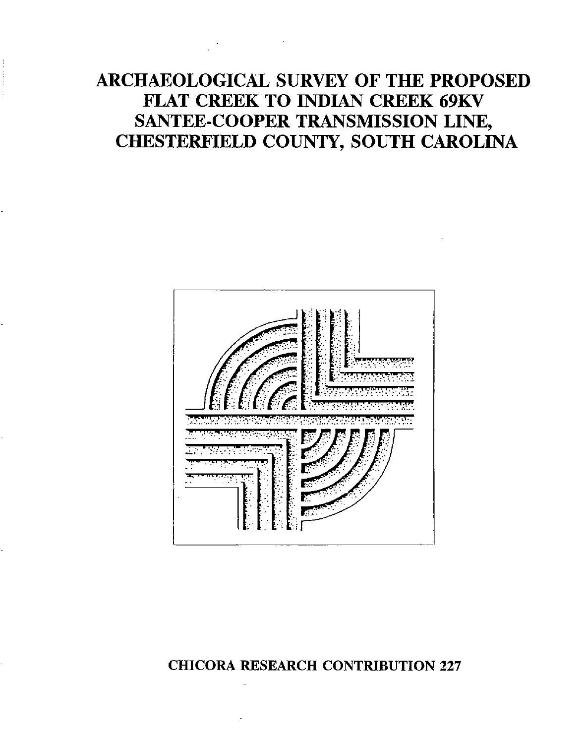### ARCHAEOLOGICAL SURVEY OF THE PROPOSED FLAT CREEK TO INDIAN CREEK 69KV SANTEE-COOPER TRANSMISSION LINE, CHESTERFIELD COUNTY, SOUTH CAROLINA



CHICORA RESEARCH CONTRIBUTION 227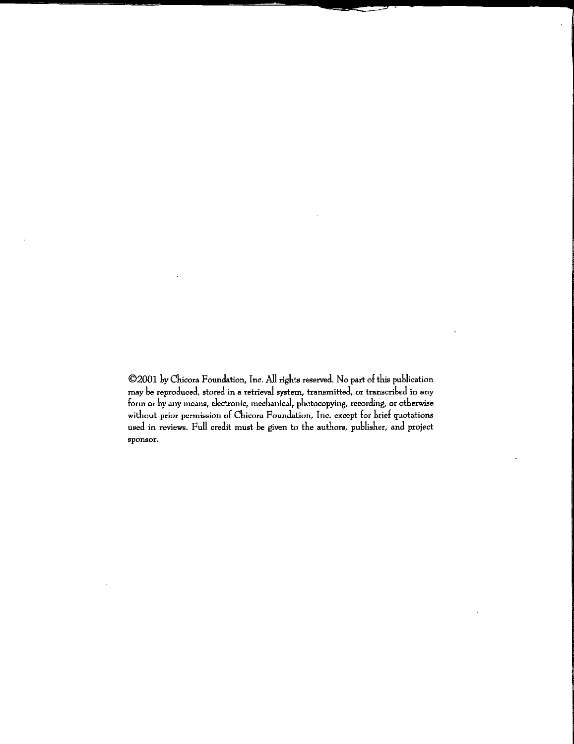©2001 by Chicora Foundation, Inc. All rights reserved. No part of this publication **may be reproduced, stored in a retrieval system, transmitted, or transcribed in any form or by any means, electronic, mechanical, photocopying, recording, or otherwise without prior permission of Chicora Foundation, Inc. except for brief quotations**  used in reviews. Full credit must be given to the authors, publisher, and project **sponsor.**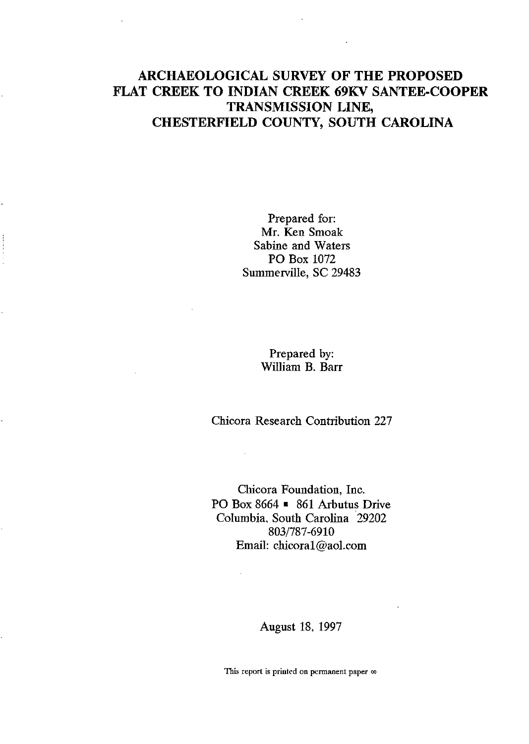### **ARCHAEOLOGICAL SURVEY OF THE PROPOSED FLAT CREEK TO INDIAN CREEK 69KV SANTEE-COOPER TRANSMISSION LINE, CHESTERFIELD COUNTY, SOUTH CAROLINA**

Prepared for: Mr. Ken Smoak Sabine and Waters PO Box 1072 Summerville, SC 29483

> Prepared by: William B. Barr

Chicora Research Contribution 227

Chicora Foundation, Inc. PO Box 8664 ■ 861 Arbutus Drive Columbia, South Carolina 29202 803/787-6910 Email: chicoral@aol.com

August 18, 1997

This report is printed on permanent paper  $\infty$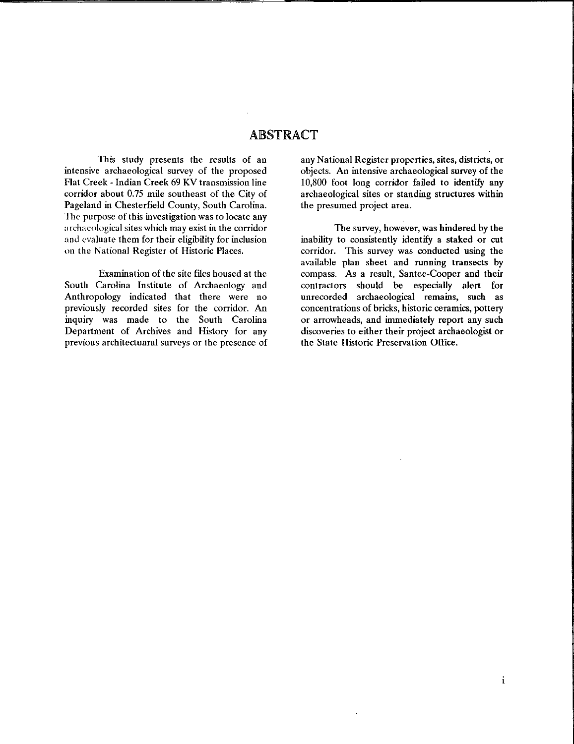### **ABSTRACT**

This study presents the results of an intensive archaeological survey of the proposed Flat Creek - Indian Creek 69 KV transmission line corridor about 0.75 mile southeast of the City of Pageland in Chesterfield County, South Carolina. The purpose of this investigation was to locate any **"rchaeological sites which may exist in the corridor**  and evaluate them for their eligibility for inclusion on the National Register of Historic Places.

Examination of the site files housed at the South Carolina Institute of Archaeology and Anthropology indicated that there were no previously recorded sites for the corridor. An inquiry was made to the South Carolina Department of Archives and History for any previous architectuaral surveys or the presence of **any National Register properties, sites, districts, or**  objects. An intensive archaeological survey of the 10,800 foot long corridor failed to identify any archaeological sites or standing structures within **the presumed project area.** 

The survey, however, was hindered by the inability to consistently identify a staked or cut corridor. This survey was conducted using the available plan sheet and running transects by compass. As a result, Santee-Cooper and their contractors should be especially alert for unrecorded archaeological remains, such as **concentrations of bricks, historic ceramics, pottery**  or arrowheads, and immediately report any such discoveries to either their project archaeologist or the State Historic Preservation Office.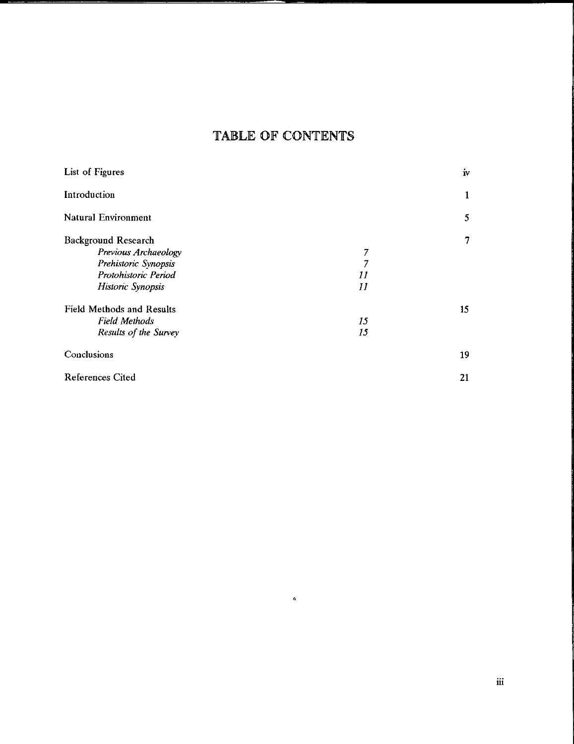### TABLE OF CONTENTS

| List of Figures                  |    | $\dot{\mathbf{v}}$ |
|----------------------------------|----|--------------------|
| Introduction                     |    | 1                  |
| Natural Environment              |    | 5                  |
| <b>Background Research</b>       |    | 7                  |
| Previous Archaeology             | 7  |                    |
| Prehistoric Synopsis             | 7  |                    |
| Protohistoric Period             | 11 |                    |
| Historic Synopsis                | 11 |                    |
| <b>Field Methods and Results</b> |    | 15                 |
| <b>Field Methods</b>             | 15 |                    |
| Results of the Survey            | 15 |                    |
| Conclusions                      |    | 19                 |
| References Cited                 |    | 21                 |

 $\bullet$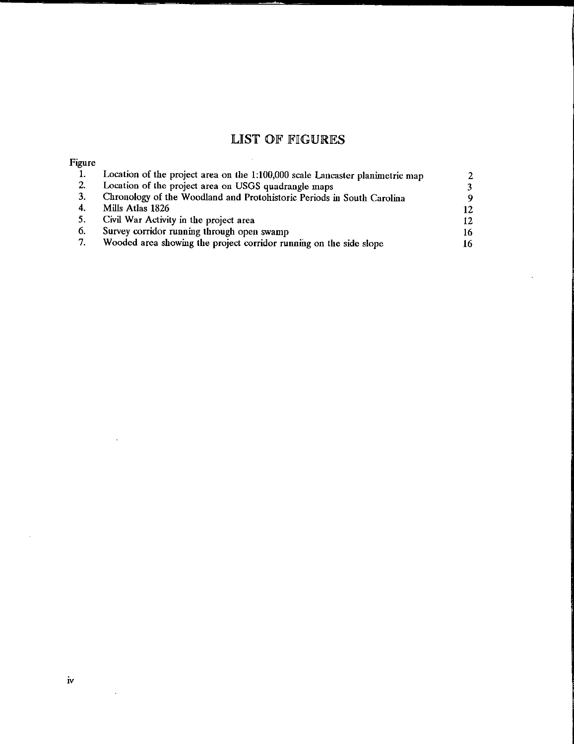### LIST OF FIGURES

÷.

| Figure |                                                                               |     |
|--------|-------------------------------------------------------------------------------|-----|
|        | Location of the project area on the 1:100,000 scale Lancaster planimetric map |     |
| 2.     | Location of the project area on USGS quadrangle maps                          |     |
| 3.     | Chronology of the Woodland and Protohistoric Periods in South Carolina        | 9   |
| 4.     | Mills Atlas 1826                                                              | 12. |
| 5.     | Civil War Activity in the project area                                        | 12. |
| 6.     | Survey corridor running through open swamp                                    | 16. |
| 7.     | Wooded area showing the project corridor running on the side slope            |     |

 $\sim 400$ 

 $\bar{\mathcal{A}}$ 

 $\mathbb{R}^2$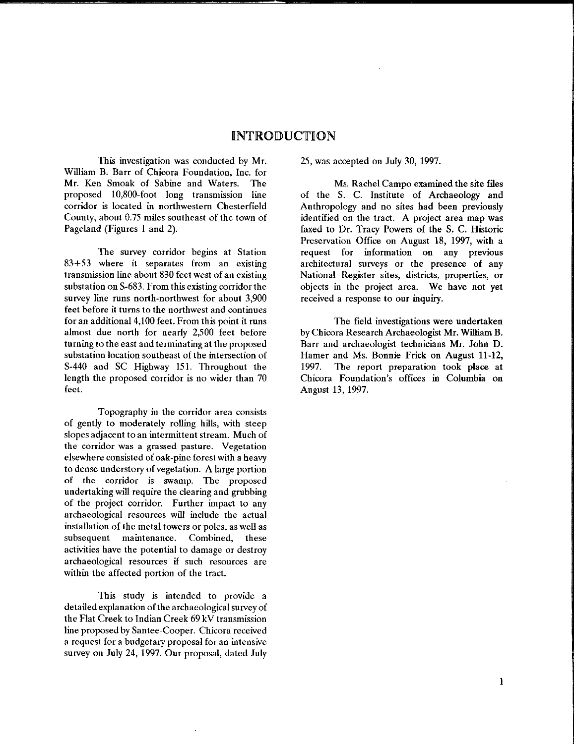### llN'fRODUC'fllON

This investigation was conducted by Mr. William B. Barr of Chicora Foundation, Inc. for Mr. Ken Smoak of Sabine and Waters. The proposed 10,800-foot long transmission line corridor is located in northwestern Chesterfield County, about 0.75 miles southeast of the town of Pageland (Figures 1 and 2).

**The survey corridor begins at Station**  83+53 where it separates from an existing transmission line about 830 feet west of an existing substation on S-683. From this existing corridor the survey line runs north-northwest for about 3,900 **feet before it turns to the northwest and continues**  for an additional 4,100 feet. From this point it runs almost due north for nearly 2,500 feet before turning to the east and terminating at the proposed **substation location southeast of the intersection of**  S-440 and SC Highway 151. Throughout the length the proposed corridor is no wider than 70 feet.

**Topography in the corridor area consists**  of gently to moderately rolling hills, with steep slopes adjacent to an intermittent stream. Much of **the corridor was a grassed pasture. Vegetation**  elsewhere consisted of oak-pine forest with a heavy to dense understory of vegetation. A large portion **of the corridor is swamp. The proposed**  undertaking will require the clearing and grubbing of the project corridor. Further impact to any archaeological resources will include the actual installation of the metal towers or poles, as well as subsequent maintenance. Combined, these activities have the potential to damage or destroy **archaeological resources if such resources are**  within the affected portion of the tract.

This study is intended to provide a detailed explanation of the archaeological survey of the Flat Creek to Indian Creek 69 kV transmission line proposed by Santee-Cooper. Chicora received a request for a budgetary proposal for an intensive survey on July 24, 1997. Our proposal, dated July 25, was accepted on July 30, 1997.

Ms. Rachel Campo examined the site files of the S. C. Institute of Archaeology and Anthropology and no sites had been previously identified on the tract. A project area map was faxed to Dr. Tracy Powers of the S. C. Historic Preservation Office on August 18, 1997, with a **request for information on any previous**  architectural surveys or the presence of any **National Register sites, districts, properties, or**  objects in the project area. We have not yet received a response to our inquiry.

The field investigations were undertaken by Chicora Research Archaeologist Mr. William B. Barr and archaeologist technicians Mr. John D. Hamer and Ms. Bonnie Frick on August 11-12, 1997. The report preparation took place at Chicora Foundation's offices in Columbia on August 13, 1997.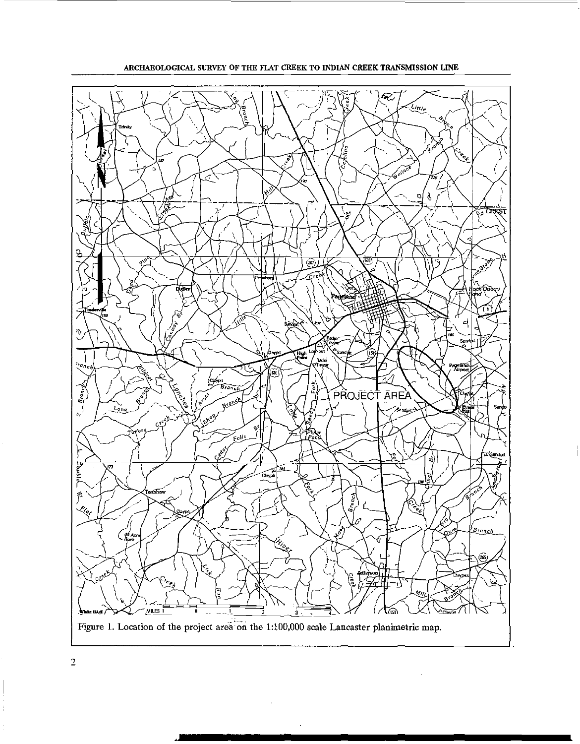

ARCHAEOLOGICAL SURVEY OF THE FLAT CREEK TO INDIAN CREEK TRANSMISSION LINE

2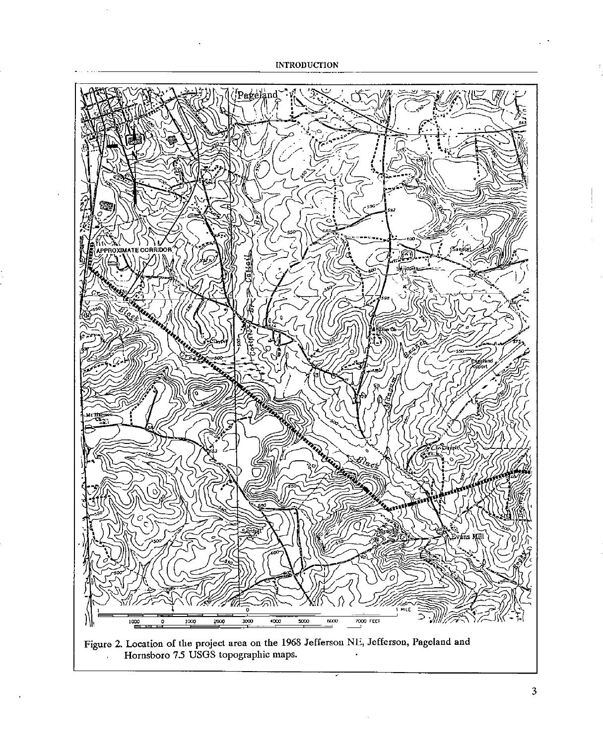INTRODUCTION



3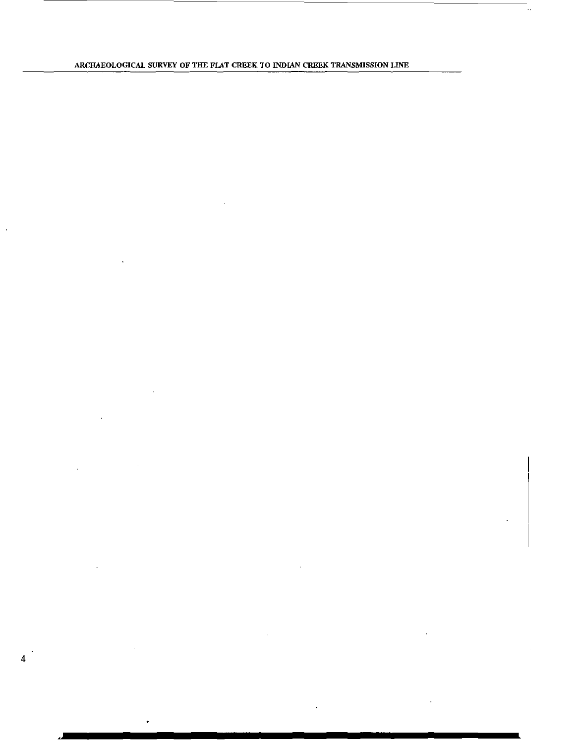$\downarrow$ 

 $\bar{1}$ 

4

 $\bar{1}$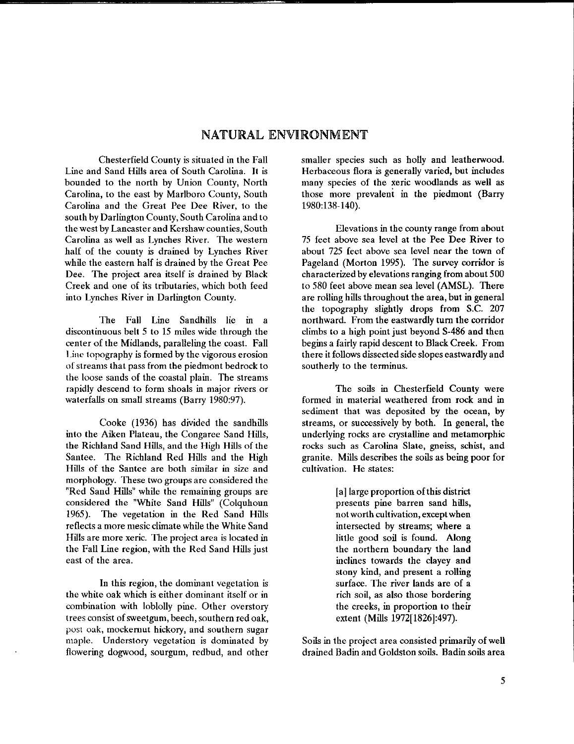### NATURAL ENVIRONMENT

Chesterfield County is situated in the Fall Line and Sand Hills area of South Carolina. It is bounded to the north by Union County, North Carolina, to the east by Marlboro County, South Carolina and the Great Pee Dee River, to the south by Darlington County, South Carolina and to the west by Lancaster and Kershaw counties, South **Carolina as well as Lynches River. The western**  half of the county is drained by Lynches River while the eastern half is drained by the Great Pee Dee. The project area itself is drained by Black Creek and one of its tributaries, which both feed into Lynches River in Darlington County.

The Fall Line Sandhills lie in a discontinuous belt 5 to 15 miles wide through the center of the Midlands, paralleling the coast. Fall Line topography is formed by the vigorous erosion of streams that pass from the piedmont bedrock to the loose sands of the coastal plain. The streams **rapidly descend to form shoals in major rivers or**  waterfalls on small streams (Barry 1980:97).

Cooke (1936) has divided the sandhills into the Aiken Plateau, the Congaree Sand Hills, the Richland Sand Hills, and the High Hills of the Santee. The Richland Red Hills and the High Hills of the Santee are both similar in size and morphology. These two groups are considered the "Red Sand Hills" while the remaining groups are considered the "White Sand Hills" (Colquhoun 1965 ). The vegetation in the Red Sand Hills reflects a more mesic climate while the White Sand Hills are more xeric. The project area is located in the Fall Line region, with the Red Sand Hills just east of the area.

**In this region, the dominant vegetation is**  the white oak which is either dominant itself or in combination with loblolly pine. Other overstory trees consist of sweetgum, beech, southern red oak, post oak, mockernut hickory, and southern sugar maple. Understory vegetation is dominated by flowering dogwood, sourgum, redbud, and other smaller species such as holly and leatherwood. Herbaceous flora is generally varied, but includes many species of the xeric woodlands as well as those more prevalent in the piedmont (Barry 1980:138-140).

Elevations in the county range from about 75 feet above sea level at the Pee Dee River to about 725 feet above sea level near the town of Pageland (Morton 1995). The survey corridor is characterized by elevations ranging from about 500 to 580 feet above mean sea level (AMSL). There are rolling hills throughout the area, but in general the topography slightly drops from S.C. 207 northward. From the eastwardly turn the corridor climbs to a high point just beyond S-486 and then begins a fairly rapid descent to Black Creek. From there it follows dissected side slopes eastwardly and southerly to the terminus.

The soils in Chesterfield County were formed in material weathered from rock and in sediment that was deposited by the ocean, by streams, or successively by both. In general, the underlying rocks are crystalline and metamorphic **rocks such as Carolina Slate, gneiss, schist, and**  granite. Mills describes the soils as being poor for **cultivation. He states:** 

> [a] large proportion of this district **presents pine barren sand hills,**  not worth cultivation, except when intersected by streams; where a little good soil is found. Along the northern boundary the land inclines towards the clayey and stony kind, and present a rolling surface. The river lands are of a rich soil, as also those bordering the creeks, in proportion to their extent (Mills 1972[1826]:497).

Soils in the project area consisted primarily of well drained Badin and Goldston soils. Badin soils area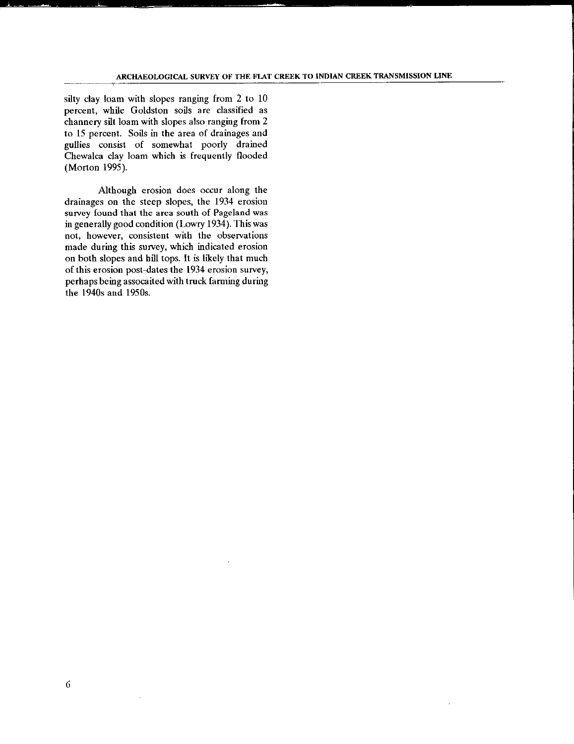silty clay loam with slopes ranging from 2 to 10 percent, while Goldston soils are classified as channery silt loam with slopes also ranging from 2 to 15 percent. Soils in the area of drainages and gullies consist of somewhat poorly drained Chewalca clay loam which is frequently flooded (Morton 1995).

Although erosion does occur along the drainages on the steep slopes, the 1934 erosion survey found that the area south of Pageland was in generally good condition (Lowry 1934). This was not, however, consistent with the observations made during this survey, which indicated erosion on both slopes and hill tops. It is likely that much of this erosion post-dates the 1934 erosion survey, perhaps being assocaited with truck farming during the 1940s and 1950s.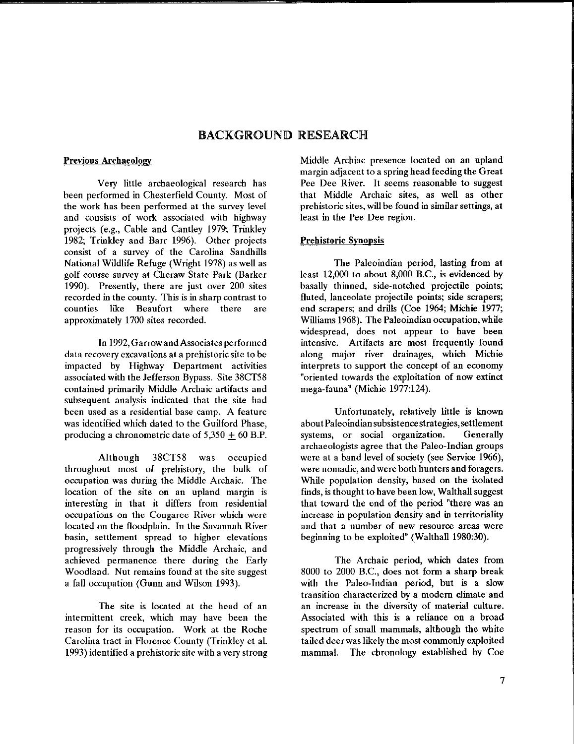### BACKGROUND RESEARCH

### **Previous Archaeology**

Very little archaeological research has been performed in Chesterfield County. Most of the work has been performed at the survey level and consists of work associated with highway projects (e.g., Cable and Cantley 1979; Trinkley 1982; Trinkley and Barr 1996). Other projects consist of a survey of the Carolina Sandhills National Wildlife Refuge (Wright 1978) as well as golf course survey at Cheraw State Park (Barker 1990). Presently, there are just over 200 sites **recorded in the county. This is in sharp contrast to counties like Beaufort where there are**  approximately 1700 sites recorded.

In 1992, Garrow and Associates performed **data recovery excavations at a prehistoric site to be**  impacted by Highway Department activities associated with the Jefferson Bypass. Site 38CT58 contained primarily Middle Archaic artifacts and subsequent analysis indicated that the site had **been used as a residential base camp. A feature**  was identified which dated to the Guilford Phase, producing a chronometric date of  $5,350 \pm 60$  B.P.

Although 38CT58 was occupied throughout most of prehistory, the bulk of occupation was during the Middle Archaic. The **location of the site on an upland margin is**  interesting in that it differs from residential **occupations on the Congaree River which were**  located on the floodplain. In the Savannah River **basin, settlement spread to higher elevations**  progressively through the Middle Archaic, and achieved permanence there during the Early Woodland. Nut remains found at the site suggest a fall occupation (Gunn and Wilson 1993).

The site is located at the head of an intermittent creek, which may have been the reason for its occupation. Work at the Roche Carolina tract in Florence County (Trinkley et al. 1993) identified a prehistoric site with a very strong Middle Archiac presence located on an upland margin adjacent to a spring head feeding the Great Pee Dee River. It seems reasonable to suggest that Middle Archaic sites, as well as other **prehistoric sites, will be found in similar settings, at**  least in the Pee Dee region.

### Prehistoric Synopsis

The Paleoindian period, lasting from at least 12,000 to about 8,000 B.C., is evidenced by basally thinned, side-notched projectile points; fluted, lanceolate projectile points; side scrapers; end scrapers; and drills (Coe 1964; Michie 1977; Williams 1968). The Paleoindian occupation, while **widespread, does not appear to have been**  intensive. Artifacts are most frequently found along major river drainages, which Michie interprets to support the concept of an economy **"oriented towards the exploitation of now extinct**  mega-fauna" (Michie 1977:124).

Unfortunately, relatively little is known about Paleoindian subsistence strategies, settlement **systems, or social organization. Generally**  archaeologists agree that the Paleo-Indian groups were at a band level of society (see Service 1966), **were nomadic, and were both hunters and foragers.**  While population density, based on the isolated finds, is thought to have been low, Walthall suggest that toward the end of the period "there was an **increase in population density and in territoriality and that a number of new resource areas were**  beginning to be exploited" (Walthall 1980:30).

The Archaic period, which dates from 8000 to 2000 B.C., does not form a sharp break with the Paleo-Indian period, but is a slow transition characterized by a modern climate and **an increase in the diversity of material culture.**  Associated with this is a reliance on a broad spectrum of small mammals, although the white tailed deer was likely the most commonly exploited mammal. The chronology established by Coe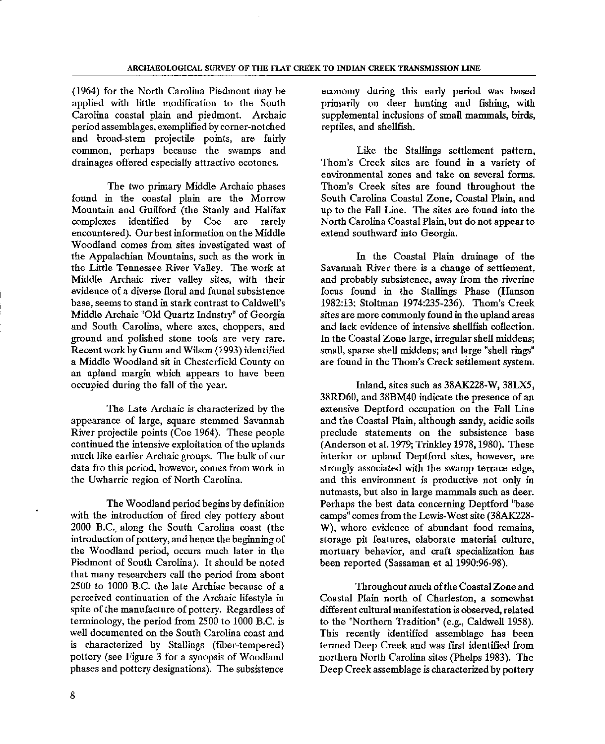(1964) for the North Carolina Piedmont may be applied with little modification to the South Carolina coastal plain and piedmont. Archaic period assemblages, exemplified by comer-notched and broad-stem projectile points, are fairly common, perhaps because the swamps and **drainages offered especially attractive ecotones.** 

The two primary Middle Archaic phases found in the coastal plain are the Morrow Mountain and Guilford (the Stanly and Halifax identified by Coe are rarely encountered). Our best information on the Middle Woodland comes from sites investigated west of the Appalachian Mountains, such as the work in the Little Tennessee River Valley. The work at Middle Archaic river valley sites, with their evidence of a diverse floral and fauna! subsistence base, seems to stand in stark contrast to Caldwell's Middle Archaic "Old Quartz Industry" of Georgia and South Carolina, where axes, choppers, and ground and polished stone tools are very rare. Recent work by Gunn and Wilson (1993) identified a Middle Woodland sit in Chesterfield County on an upland margin which appears to have been occupied during the fall of the year.

The Late Archaic is characterized by the appearance of large, square stemmed Savannah River projectile points (Coe 1964). These people continued the intensive exploitation of the uplands much like earlier Archaic gronps. The bulk of our data fro this period, however, comes from work in the Uwharrie region of North Carolina.

The Woodland period begins by definition with the introduction of fired day pottery about 2000 B.C. along the South Carolina coast (the introduction of pottery, and hence the beginning of the Woodland period, occurs much later in the Piedmont of South Carolina). It should be noted that many researchers call the period from about 2500 to 1000 B.C. the late Archiac because of a perceived continuation of the Archaic lifestyle in spite of the manufacture of pottery. Regardless of terminology, the period from 2500 to 1000 B.C. is well documented on the South Carolina coast and is characterized by Stallings (fiber-tempered) pottery (see Figure 3 for a synopsis of Woodland phases and pottery designations). The subsistence economy during this early period was based primarily on deer hunting and fishing, with supplemental inclusions of small mammals, birds, reptiles, and shellfish.

Like the Stallings settlement pattern, Thom's Creek sites are found in a variety of environmental zones and take on several forms. Thom's Creek sites are found throughout the Sonth Carolina Coastal Zone, Coastal Plain, and up to the Fall Line. The sites are found into the North Carolina Coastal Plain, but do not appear to extend southward into Georgia.

In the Coastal Plain drainage of the **Savannah River there is a change of settlement,**  and probably subsistence, away from the riverine focus found in the Stallings Phase (Hanson 1982:13; Stoltman 1974:235-236). Thom's Creek sites are more commonly found in the upland areas and lack evidence of intensive shellfish collection. In the Coastal Zone large, irregular shell middens; small, sparse shell middens; and large "shell rings" are found in the Thom's Creek seitlement system.

Inland, sites such as 38AK228-W, 38LX5, 38RD60, and 38BM40 indicate the presence of an extensive Deptford occupation on the Fall Line and the Coastal Plain, although sandy, acidic soils preclude statements on the subsistence base (Anderson et al. 1979; Trinkley 1978, 1980). These **interior or upland Deptford sites, however, are**  strongly associated with the swamp terrace edge, and this environment is productive not only in nutmasts, but also in large mammals such as deer. Perhaps the best data concerning Deptford "base camps" comes from the Lewis-West site (38AK228- W), where evidence of abundant food remains, **storage pit features, elaborate material culture,**  mortuary behavior, and craft specialization has been reported (Sassaman et al 1990:96-98).

Throughout much of the Coastal Zone and Coastal Plain north of Charleston, a somewhat different cultural manifestation is observed, related to the "Northern Tradition" (e.g., Caldwell 1958). This recently identified assemblage has been termed Deep Creek and was first identified from northern North Carolina sites (Phelps 1983). The Deep Creek assemblage is characterized by pottery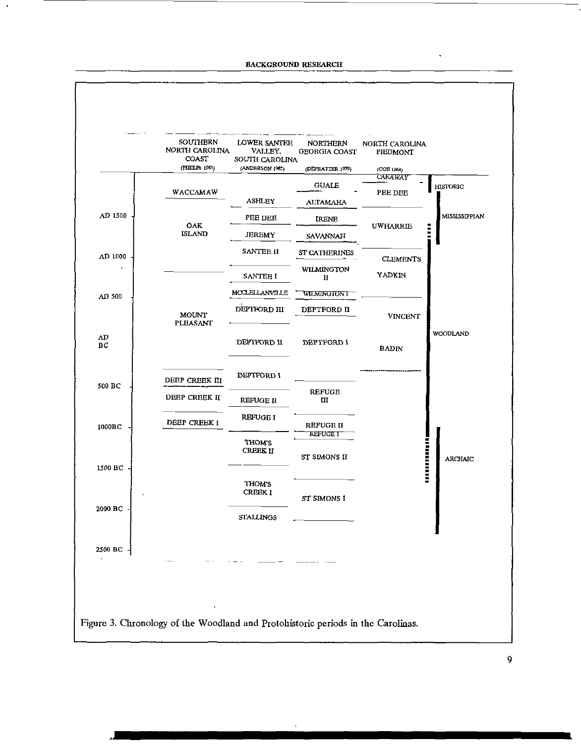BACKGROUND RESEARCH



9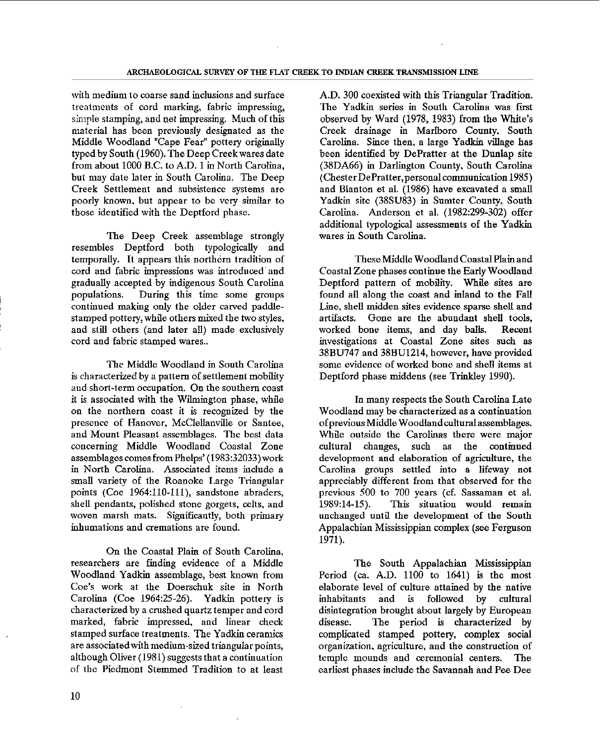**\Vith medium to coarse sand inclusions and surface**  treatments of cord marking, fabric impressing, simple stamping, and net impressing. Much of this material has been previously designated as the Middle Woodland "Cape Fear" pottery originally typed by South (1960). The Deep Creek wares date from about 1000 B.C. to A.O. 1 in North Carolina, but may date later in South Carolina. The Deep **Creek Settlement and subsistence systems are**  poorly known, but appear to be *very* similar to those identified with the Deptford phase.

The Deep Creek assemblage strongly resembles Deptford both typologically and temporally. It appears this northern tradition of cord and fabric impressions was introduced and gradually accepted by indigenous South Carolina populations. During this time some groups continued making only the older carved paddlestamped *pottery,* while others mixed the two styles, and still others (and later all) made exclusively cord and fabric stamped wares..

The Middle Woodland in South Carolina is characterized by a pattern of settlement mobility and short-term occupation. On the southern coast it is associated with the Wilmington phase, while on the northern coast it is recognized by the presence of Hanover, McClellanville or Santee, and Mount Pleasant assemblages. The best data concerning Middle Woodland Coastal Zone assemblages comes from Phelps' (1983:32033) work in North Carolina. Associated items include a small variety of the Roanoke Large Triangular points (Coe 1964:110-111), sandstone abraders, shell pendants, polished stone gorgets, celts, and woven marsh mats. Significantly, both primary **inhumations and cremations are found.** 

On the Coastal Plain of South Carolina, researchers are finding evidence of a Middle Woodland Yadkin assemblage, best known from Coe's work at the Doerschuk site in North Carolina (Coe 1964:25-26). Yadkin pottery is characterized by a crushed quartz temper and cord marked, fabric impressed, and linear check stamped surface treatments. The Yadkin ceramics **are associated with medium-sized triangular points,**  although Oliver (1981) suggests that a continuation of the Piedmont Stemmed Tradition to at least A.O. 300 coexisted with this Triangular Tradition. The Yadkin series in South Carolina was first observed by Ward (1978, 1983) from the White's Creek drainage in Marlboro County, South Carolina. Since then, a large Yadkin village has been identified by DePratter at the Dunlap site (38DA66) in Darlington County, South Carolina  $(Chester DePratter, personal communication 1985)$ and Blanton et al. (1986) have excavated a small Yadkin site (38SU83) in Sumter County, South Carolina. Anderson et al. (1982:299-302) offer additional typological assessments of the Yadkin wares in South Carolina.

These Middle Woodland Coastal Plain and Coastal Zone phases continue the Early Woodland Deptford pattern of mobility. While sites are found all along the coast and inland to the Fall Line, shell midden sites evidence sparse shell and artifacts. Gone are the abundant shell tools,<br>worked bone items, and day balls. Recent worked bone items, and day balls. investigations at Coastal Zone sites such as 38BU747 and 38BU1214, however, have provided some evidence of worked bone and shell items at Deptford phase middens (see Trinkley 1990).

In many respects the South Carolina Late Woodland may be characterized as a continuation of previous Middle Woodland cultural assemblages. While outside the Carolinas there were major cultural changes, such as the continued development and elaboration of agriculture, the Carolina groups settled into a lifeway not appreciably different from that observed for the previous 500 to 700 years (cf. Sassaman et al.<br>1989:14-15). This situation would remain This situation would remain unchanged until the development of the South Appalachian Mississippian complex (see Ferguson 1971).

The South Appalachian Mississippian Period (ca. A.D.  $1100$  to 1641) is the most elaborate level of culture attained by the native inhabitants and is followed by cultural disintegration brought about largely by European disease. The period is characterized by complicated stamped *pottery,* complex social organization, agriculture, and the construction of temple mounds and ceremonial centers. The earliest phases include the Savannah and Pee Dee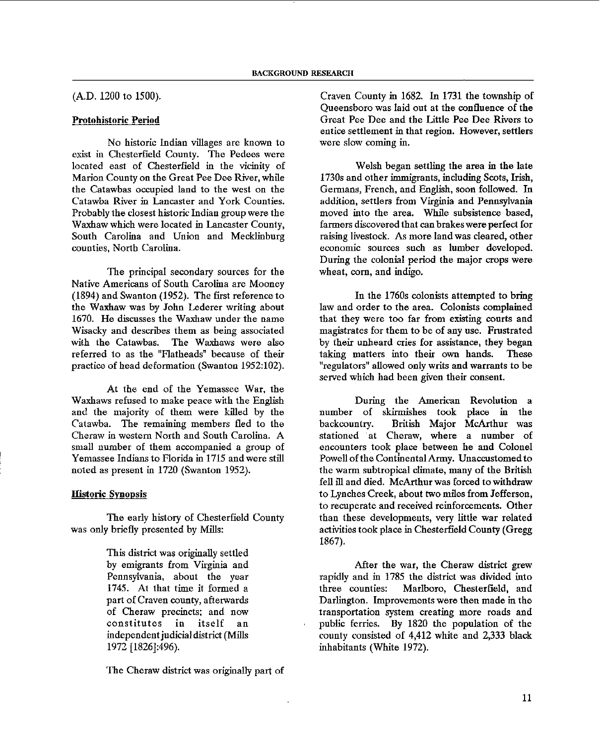(AD. 1200 to 1500).

### **Protohistoric Period**

No historic Indian villages are known to exist in Chesterfield County. The Pedees were located east of Chesterfield in the vicinity of Marion County on the Great Pee Dee River, while the Catawbas occupied land to the west on the Catawba River in Lancaster and Yark Counties. Probably the closest historic Indian group were the Waxhaw which were located in Lancaster County, South Carolina and Union and Mecklinburg counties, North Carolina.

The principal secondary sources for the Native Americans of South Carolina are Mooney (1894) and Swanton (1952). The first reference to the Waxhaw was by John Lederer writing about 1670. He discusses the Waxhaw under the name Wisacky and describes them as being associated with the Catawbas. The Waxhaws were also referred to as the "flatheads" because of their practice of head deformation (Swanton 1952:102).

At the end of the Yemassee War, the Waxhaws refused to make peace with the English and the majority of them were killed by the Catawba. The remaining members fled to the Cheraw in western North and South Carolina. A small number of them accompanied a group of Yemassee Indians to Florida in 1715 and were still noted as present in 1720 (Swanton 1952).

#### **Historic Synopsis**

The early history of Chesterfield County was only briefly presented by Mills:

> This district was originally settled by emigrants from Virginia and Pennsylvania, about the year 1745. At that time it formed a part of Craven connty, afterwards **of Cheraw precincts; and now constitutes in itself an**  independent judicial district (Mills 1972 [1826]:496).

The Cheraw district was originally part of

Craven County in 1682. In 1731 the township of Queensboro was laid out at the confluence of the Great Pee Dee and the Little Pee Dee Rivers to **entice settlement in that region. However, settlers were slow coming in.** 

Welsh began settling the area in the late 1730s and other immigrants, including Scots, Irish, Germans, French, and English, soon followed. In addition, settlers from Virginia and Pennsylvania moved into the area. While subsistence based, farmers discovered that can brakes were perfect for raising livestock. As more land was cleared, other economic sources such as lumber developed. During the colonial period the major crops were wheat, corn, and indigo.

In the 1760s colonists attempted to bring law and order to the area. Colonists complained that they were too far from existing courts and magistrates for them to be of any use. Frustrated by their unheard cries for assistance, they began taking matters into their own hands. These **<sup>11</sup> regulators <sup>11</sup>allowed only writs and warrants to be**  served which had been given their consent.

During the American Revolution a number of skirmishes took place in the backcountry. British Major McArthur was **stationed ·at Cheraw, where a number of**  encounters took place between he and Colonel Powell of the Continental Army. Unaccustomed to the warm subtropical climate, many of the British fell ill and died. McArthur was forced to withdraw to Lynches Creek, about two miles from Jefferson, to recuperate and received reinforcements. Other than these developments, very little war related activities took place in Chesterfield County (Gregg 1867).

After the war, the Cheraw district grew rapidly and in 1785 the district was divided into three counties: Marlboro, Chesterfield, and Darlington. Improvements were then made in the transportation system creating more roads and public ferries. By 1820 the population of the county consisted of 4,412 white and 2,333 black inhabitants (White 1972).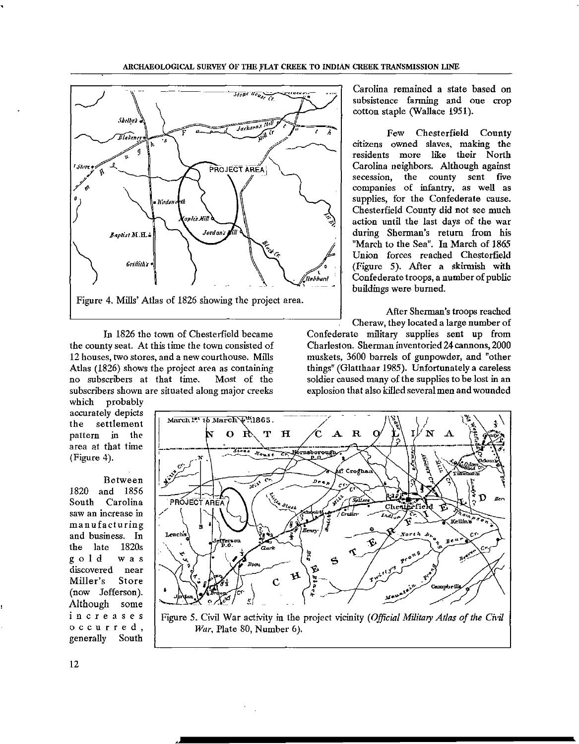

In 1826 the town of Chesterfield became the county seat. At this time the towu consisted of **12 houses, two stores, and a new courthouse. Mills**  Atlas (1826) shows the project area as containing<br>no subscribers at that time. Most of the no subscribers at that time. subscribers shown are situated along major creeks

Carolina remained a state based on **subsistence fanning and one crop**  cotton staple (Wallace 1951).

Few Chesterfield County **citizens owned slaves, making the residents more like their North**  Carolina neighbors. Although against **secession, the county sent five companies of infantry, as well as**  supplies, for the Confederate cause. Chesterfield County did not see much action until the last days of the war during Sherman's return from his "March to the Sea". In March of 1865 Union forces reached Chesterfield (Figure 5). After a skirmish with Confederate troops, a number of public buildings were burned.

After Sherman's troops reached Cheraw, they located a large number of Confederate military supplies sent up from Charleston. Sherman inventoried 24 cannons, 2000 muskets, 3600 barrels of gunpowder, and "other things" (Glatthaar 1985). Unfortunately a careless soldier caused many of the supplies to be lost in an

explosion that also killed several men and wounded

which probably accurately depicts the settlement pattern in the area at that time (Figure 4).

Between 1820 and 1856 South Carolina **saw an increase in manufacturing**  and business. In the late 1820s gold was<br>discovered near discovered Miller's Store (now Jefferson). Although some **increases occurred,**  generally South



Figure 5. Civil War activity in the project vicinity *(Official Military Atlas of the Civil*  War, Plate 80, Number 6).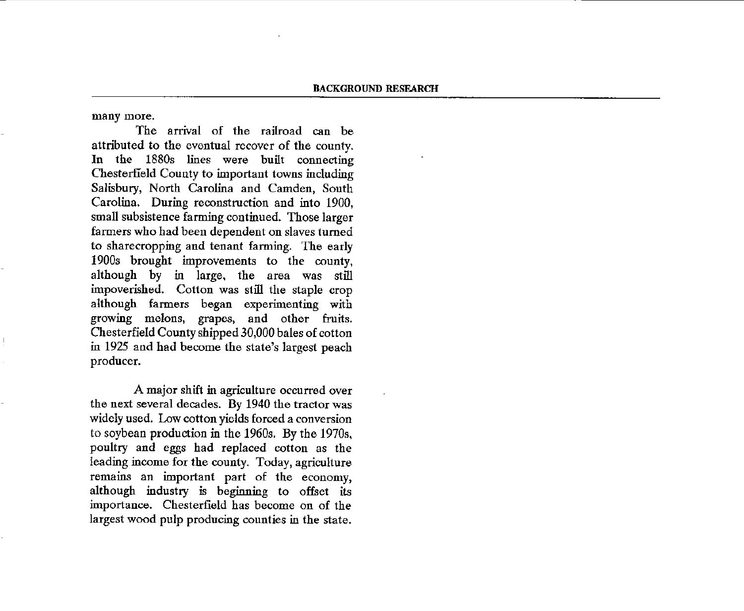**many more.** 

The arrival of the railroad can be attributed to the eventual recover of the county. In the 1880s lines were built connecting Chesterfield County to important towns including Salisbury, North Carolina and Camden, South Carolina. During reconstruction and into 1900, small subsistence fanning continued. Those larger farmers who had been dependent on slaves turned to sharecropping and tenant fanning. The early 1900s brought improvements to the county, although by in large, the area was still impoverished. Cotton was still the staple crop although farmers began experimenting with growing melons, grapes, and other fruits. Chesterfield County shipped 30,000 bales of cotton in 1925 and had become the state's largest peach producer.

**A major shift in agriculture occurred over**  the next several decades. By 1940 the tractor was widely used. Low cotton yields forced a conversion to soybean production in the 1960s. By the 1970s, poultry and eggs had replaced cotton as the leading income for the county. Today, agriculture **remains an important part of the economy,**  although industry is beginning to offset its importance. Chesterfield has become on of the largest wood pulp producing counties in the state.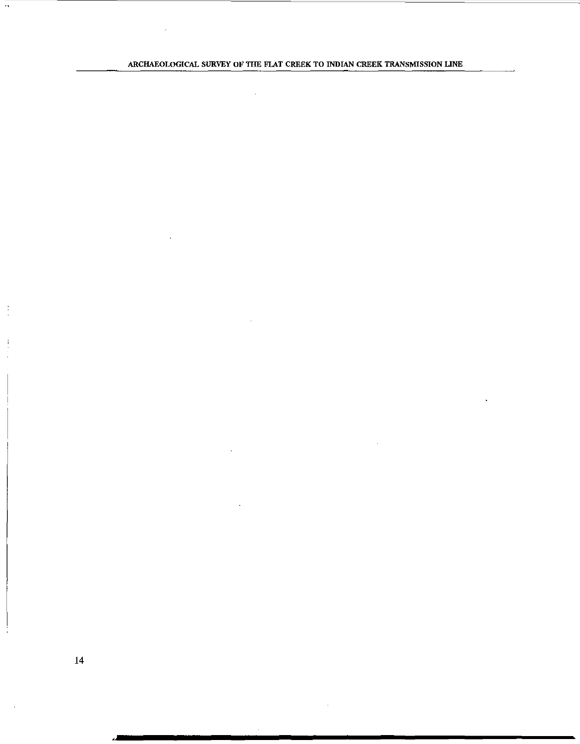ARCHAEOLOGICAL SURVEY OF THE FIAT CREEK TO INDIAN CREEK TRANSMISSION UNE

ł,

 $\hat{\mathcal{A}}$ 

 $\lambda$ 

 $\alpha$ 

 $\ddot{\phantom{a}}$ 

 $\ddot{\phantom{a}}$ 

14

 $\mathcal{A}_{\mathbf{X}}$ 

 $\frac{1}{2}$ 

 $\frac{1}{4}$ ÷,

 $\bar{1}$ 

 $\alpha$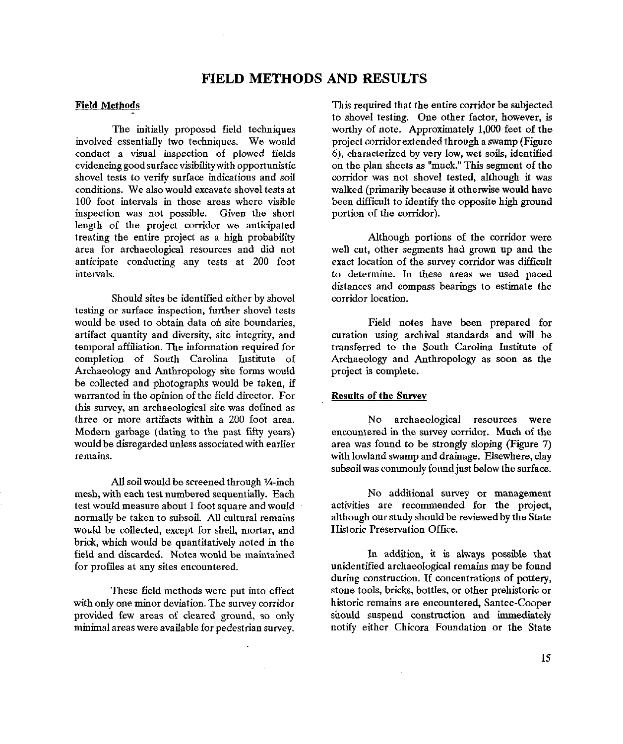### **FIELD METHODS AND RESULTS**

### **Field Methods**

The initially proposed field techniques involved essentially two techniques. We would conduct a visual inspection of plowed fields evidencing good surface visibility with opportunistic shovel tests to verify surface indications and soil conditions. We also would excavate shovel tests at 100 foot intervals in those areas where visible **inspection was not possible. Given the short**  length of the project corridor we anticipated treating the entire project as a high probability area for archaeological resources and did not anticipate conducting any tests at 200 foot intervals.

Sbould sites be identified either by shovel **testing or surface inspection, further shovel tests**  would be used to obtain data on site boundaries. artifact quantity and diversity, site integrity, and temporal affiliation. The information required for completion of South Carolina Institute of Archaeology and Anthropology site forms would be collected and photographs would be taken, if warranted in the opinion of the field director. For this survey, an archaeological site was defined as three or more artifacts within a 200 foot area. Modern garbage (dating to the past fifty years) would be disregarded unless associated with earlier **remains.** 

All soil would be screened through %-inch mesh, with each test numbered sequentially. Each test would measure about 1 foot square and would normally be taken to subsoil. All cultural remains would be collected, except for shell, mortar, and brick, which would be quantitatively noted in the field and discarded. Notes would be maintained **for profiles at any sites encountered.** 

These field methods were put into effect with only one minor deviation. The survey corridor provided few areas of cleared ground, so only minimal areas were available for pedestrian survey.

This required that the entire corridor be subjected to shovel testing. One other factor, however, is worthy of note. Approximately 1,000 feet of the project corridor extended through a swamp (Figure 6), characterized by very low, wet soils, identified **on the plan sheets as "muck."** This segment of the corridor was not shovel tested, although it was walked (primarily because it otherwise would have been difficult to identify the opposite high ground portion of the corridor).

Although portions of the corridor were well cut, other segments had grown up and the exact location of the survey corridor was difficult to determine. In these areas we used paced distances and compass bearings to estimate the **corridor location.** 

Field notes have been prepared for curation using archival standards and will be transferred to the South Carolina Institute of Archaeology and Anthropology as soon as the project is complete.

### **Results of the Survey**

No archaeological resources were encountered in the survey corridor. Much of the area was found to be strongly sloping (Figure 7) with lowland swamp and drainage. Elsewhere, clay subsoil was commonly found just below the surface.

No additional survey or management activities are recommended for the project, although our study should be reviewed by the State Historic Preservation Office.

In addition, it is always possible that unidentified archaeological remains may be found during construction. If concentrations of pottery, stone tools, bricks, bottles, or other prehistoric or historic remains are encountered, Santee-Cooper should suspend construction and immediately notify either Chicora Foundation or the State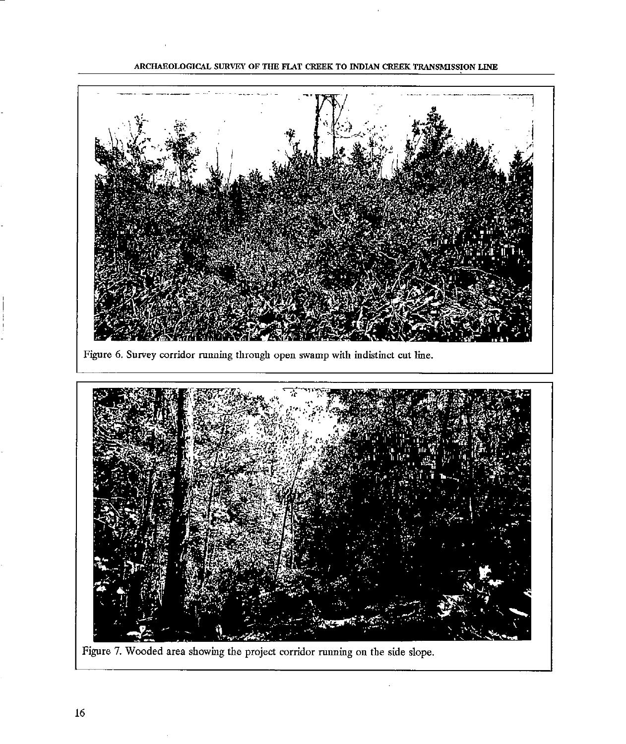ARCHAEOLOGICAL SURVEY OF THE FLAT CREEK *TO* INDIAN CREEK TRANSMISSION LINE



Figure 7. Wooded area showing the project corridor running on the side slope.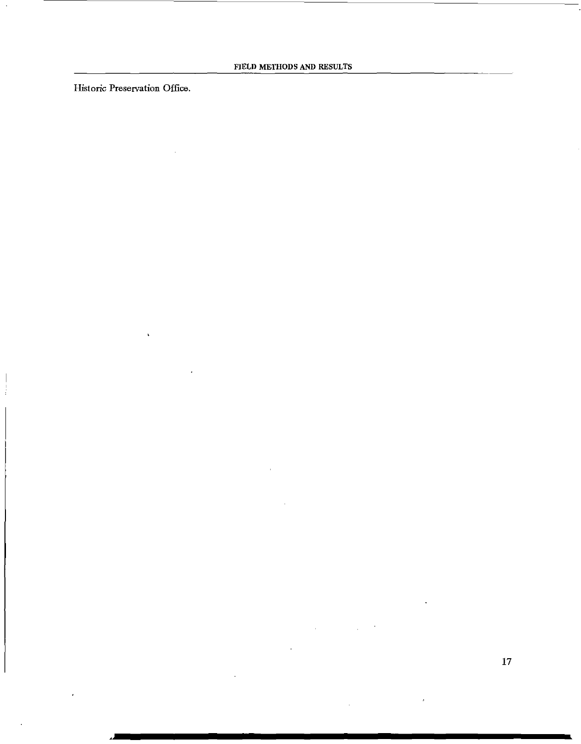Historic Preservation Office.

 $\mathcal{L}_{\rm{in}}$ 

 $\hat{\mathbf{v}}$ 

 $\overline{\phantom{a}}$ j

 $\ddot{\phantom{0}}$ 

 $\bar{\rm{a}}$ 

 $\mathcal{L}^{\mathcal{L}}$ 

 $\ddot{\phantom{1}}$ 

 $\sim$   $\sim$ 

J.

 $\Box$ 

 $\bar{t}$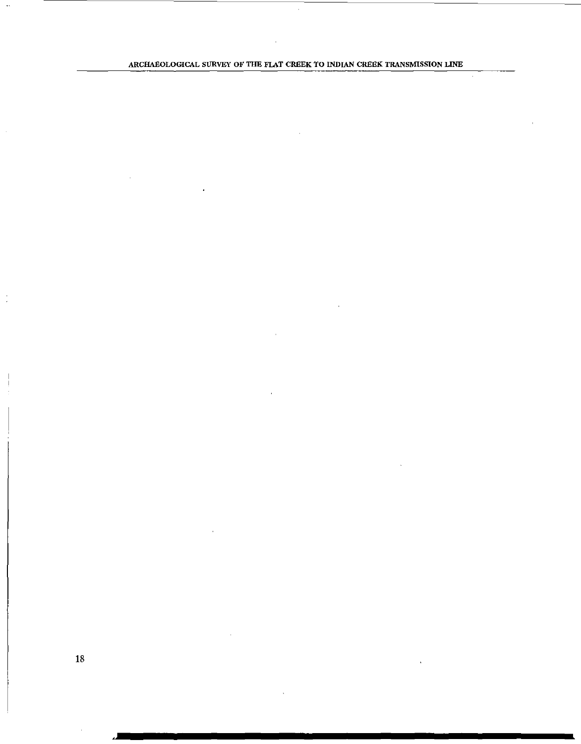ARCHAEOLOGICAL SURVEY OF THE F1AT CREEK TO INDIAN CREEK TRANSMISSION LINE

l,

 $\downarrow$  .

 $\frac{1}{2}$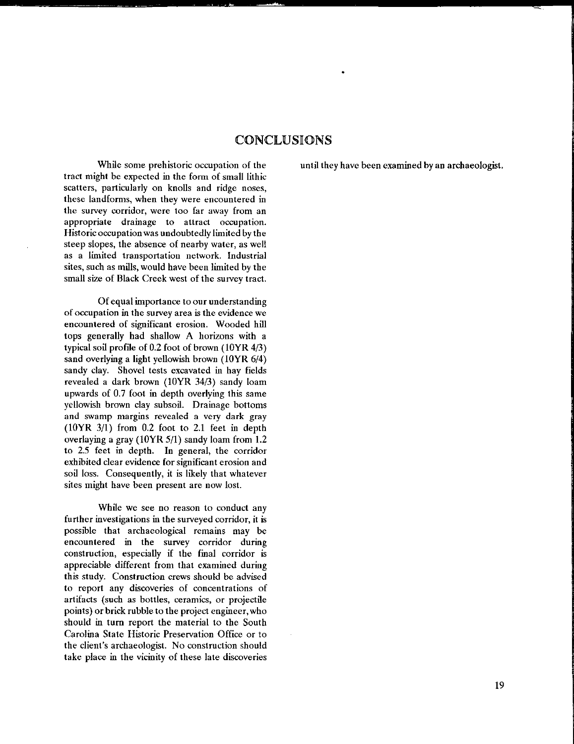### CONCLUSIONS

While some prehistoric occupation of the tract might be expected in the form of small lithic scatters, particularly on knolls and ridge noses, **these landforms, when they were encountered in the survey corridor, were too far away from an appropriate drainage to attract occupation.**  Historic occupation was undoubtedly limited by the steep slopes, the absence of nearby water, as well **as a limited transportation network. Industrial**  sites, such as mills, would have been limited by the small size of Black Creek west of the survey tract.

----- -- ---

Of equal importance to our understanding **of occupation in the survey area is the evidence we**  encountered of significant erosion. Wooded hill tops generally had shallow A horizons with a typical soil profile of 0.2 foot of brown (lOYR 4/3) sand overlying a light yellowish brown  $(10YR 6/4)$ sandy clay. Shovel tests excavated in hay fields revealed a dark brown (10YR 34/3) sandy loam upwards of 0.7 foot in depth overlying this same yellowish brown clay subsoil. Drainage bottoms and swamp margins revealed a very dark gray (lOYR 3/1) from 0.2 foot to 2.1 feet in depth overlaying a gray (lOYR 5/1) sandy loam from 1.2 to 2.5 feet in depth. In general, the corridor **exhibited clear evidence for significant erosion and**  soil loss. Consequently, it is likely that whatever **sites might have been present are now lost.** 

While we see no reason to conduct any further investigations in the surveyed corridor, it is possible that archaeological remains may be **encountered in the survey corridor during**  construction, especially if the final corridor is appreciable different from that examined during this study. Construction crews should be advised **to report any discoveries of concentrations of artifacts (such as bottles, ceramics, or projectile**  points) or brick rubble to the project engineer, who should in turn report the material to the South Carolina State Historic Preservation Office or to the client's archaeologist. No construction should take place in the vicinity of these late discoveries until they have been examined by an archaeologist.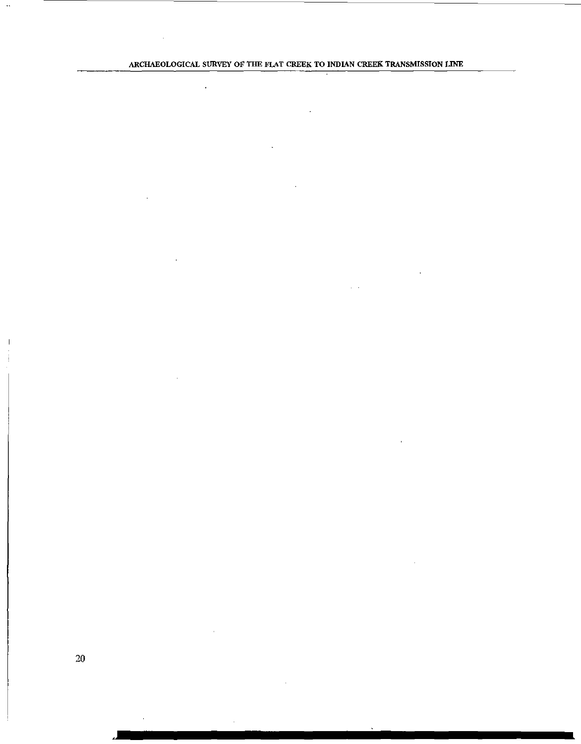$\mathcal{L} \rightarrow \mathcal{L}$ 

 $\bar{1}$ 

 $\cdot$ 

20

 $\star\star$ 

 $\mathbf{I}$  $\mathbf{i}$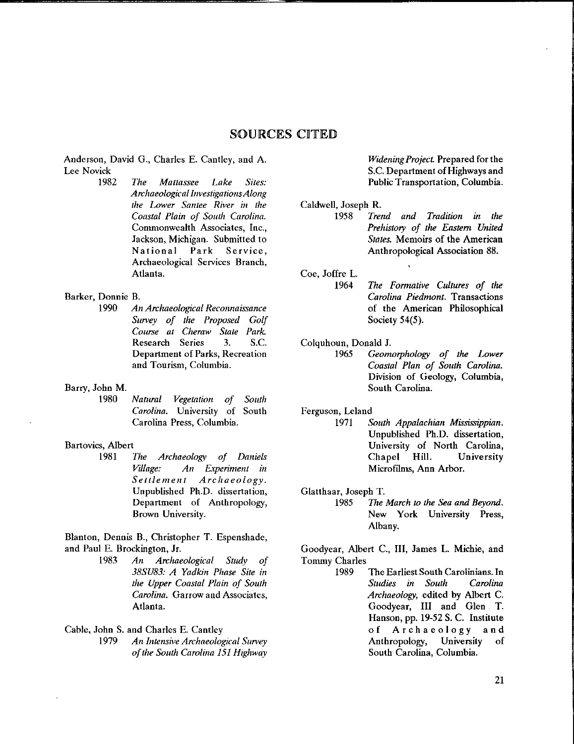### SOURCES CITED

Anderson, David G., Charles E. Cantley, and A. Lee Novick

> 1982 *The Mattassee Lake Sites: Archaeological Investigations Along the Lower Santee River in the Coastal Plain of South Carolina.*  **Commonwealth Associates, Inc.,**  Jackson, Michigan. Submitted to **National Park Service, Archaeological Services Branch,**  Atlanta.

**Barker, Donnie B.** 

1990 *An Archaeological Reconnaissance Survey of the Proposed Golf Course at Cheraw State Park.*  Research Series 3. S.C. **Department of Parks, Recreation and Tourism, Columbia.** 

Barry, John M.

1980 *Natural Vegetation of South Carolina.* University of South Carolina Press, Columbia.

### Bartovics, Albert

1981 *The Archaeology of Daniels Village: An Experiment in Settlement Archaeology.*  Unpublished Ph.D. dissertation, Department of Anthropology, **Brown University.** 

Blanton, Dennis B., Christopher T. Espenshade, and Paul E. Brockington, Jr.

> 1983 *An Archaeological Study of 38SU83: A Yadkin Phase Site in the Upper Coastal Plain of South Carolina.* **Garrow and Associates,**  Atlanta.

Cable, John S. and Charles E. Cantley

1979 *An Intensive Archaeological Survey of the South Carolina 151 Highway* 

*Widening Project.* Prepared for the S.C. Department of Highways and Public Transportation, Columbia.

#### Caldwell, Joseph R.

1958 *Trend and Tradition in the Prehistory of the Eastern United States.* Memoirs of the American Anthropological Association 88.

Coe, Joffre L.

- 1964 *The Formative Cultures of the Carolina Piedmont.* Transactions of the American Philosophical Society 54(5).
- Colquhoun, Donald J.
	- 1965 *Geomorphology of the Lower Coastal Plan of South Carolina.*  Division of Geology, Columbia, South Carolina.

Ferguson, Leland

1971 *South Appalachian Mississippian.*  Unpublished Ph.D. dissertation, University of North Carolina, Chapel Hill. University Microfilms, Ann Arbor.

### Glatthaar, Joseph T.

1985 *The March to the Sea and Beyond.*  New York University Press, Albany.

Goodyear, Albert C., III, James L. Michie, and Tommy Charles

1989 The Earliest South Carolinians. In *Studies in South Carolina Archaeology,* edited by Albert C. Goodyear, III and Glen T. Hanson, pp. 19-52 S. C. Institute of Archaeology and Anthropology, University of South Carolina, Columbia.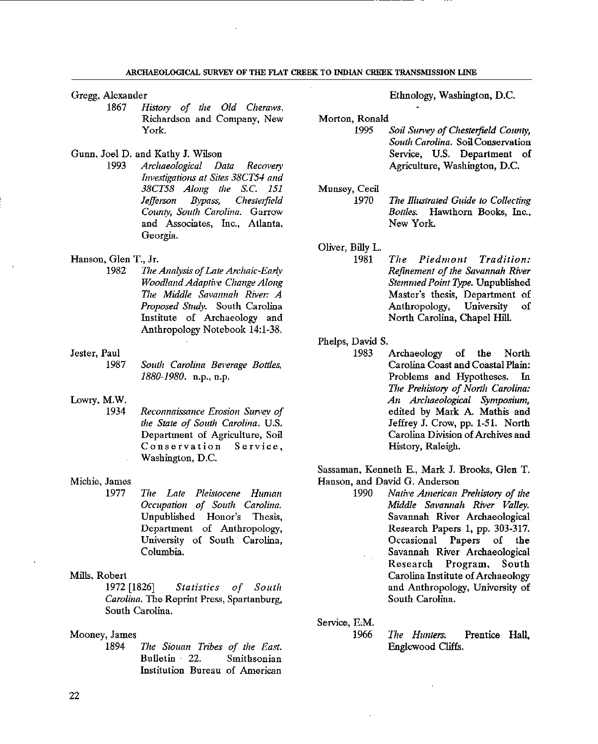#### ARCHAEOLOGICAL SURVEY OF THE FIAT CREEK TO INDIAN CREEK TRANSMISSION UNE

### Gregg, Alexander

1867 *History of the Old Cheraws.*  Richardson and Company, New York.

# Gunn, Joel D. and Kathy J. Wilson<br>1993 Archaeological Data

1993 *Archaeological Data Recovery Investigations at Sites 38CT54 and*  38CT58 Along the *S.C.* 151<br>Jefferson Bypass. Chesterfield *Jefferson Bypass, Cheste1field County, South Carolina.* Garrow and Associates, Inc., Atlanta, Georgia.

#### Hanson, Glen T., Jr.

1982 *I7te Analysis of Late Archaic-Early Woodland Adaptive Change Along The Middle Savannah River: A Proposed Study.* South Carolina Institute of Archaeology and Anthropology Notebook 14:1-38.

# Jester, Paul

South Carolina Beverage Bottles, *1880-1980.* n.p., n.p.

# Lowry, M.W.<br>1934

1934 *Reconnaissance Erosion Sun1ey of the State of South Carolina.* U.S. Department of Agriculture, Soil **Conservation Service,**  Washington, D.C.

### Michie, James

1977 *The Late Pleistocene Human Occupation of South Carolina.*  Unpublished Honor's Thesis, Department of Anthropology, University of South Carolina, Columbia.

### Mills, Robert

1972 [1826] *Statistics of South Carolina.* The Reprint Press, Spartanburg, South Carolina.

### **Mooney, James**

1894 *The Siouan Tribes of the East.*  Bulletin 22. Smithsonian Institution Bureau of American Ethnology, Washington, D.C.

# Morton, Ronald

1995 *Soil Survey of Chesterfield Co1mty, South Carolina.* Soil Conservation Service, U.S. Department of Agriculture, Washington, D.C.

### Munsey, Cecil

1970 *I1ie fl/ustrated Guide to Collecting Bottles.* Hawthorn Books, Inc., New York.

#### Oliver, Billy L.

1981  $The$  *Piedmont Tradition: Refinement of the Savannah River Stemmed Point Type.* Unpublished Master's thesis, Department of Anthropology, University of North Carolina, Chapel Hill

Phelps, David S.<br>1983 Archaeology of the North Carolina Coast and Coastal Plain: Problems and Hypotheses. In *I11e Prehistory of North Carolina: An Archaeological Symposium,*  edited by Mark A. Mathis and Jeffrey J. Crow, pp. 1-51. North Carolina Division of Archives and History, Raleigh.

### Sassaman, Kenneth E., Mark J. Brooks, Glen T. Hanson, and David G. Anderson

1990 *Native American Prehistory of the Middle Savannah River Valley.*  Savannah River Archaeological Research Papers l, pp. 303-317. Occasional Papers of the Savannah River Archaeological Research Program, South Carolina Institute of Archaeology and Anthropology, University of South Carolina.

### Service, E.M.

1966 *I1ie Hunters.* Prentice Hall, Englewood Cliffs.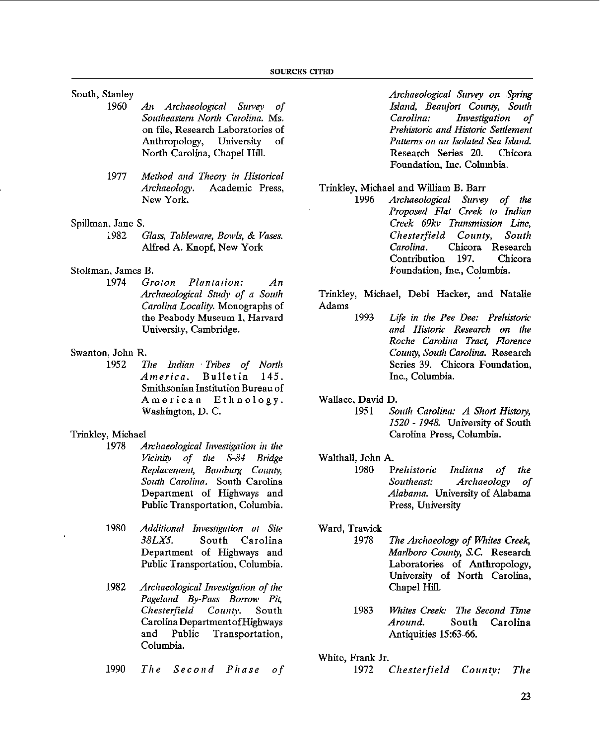# South, Stanley<br>1960

- 1960 *An Archaeological Sum!y of Southeastem North Carolina.* Ms. on file, Research Laboratories of<br>Anthropology, University of Anthropology, North Carolina, Chapel Hill.
- 1977 *Method and Theory in Historical Archaeology.* Academic Press, New York.

### Spillman, Jane S.

1982 *Glass, Tableware, Bowls,* & *Vases.*  Alfred A. Knopf, New York

# Stoltman, James B.<br>1974 Gr

 $G$ roton *Plantation:* An *Archaeological Study of a South Carolina Locality.* Monographs of the Peabody Museum 1, Harvard University, Cambridge.

# Swanton, John R.<br>1952  $T$

1952 *The Indian* · *Tribes of North America.* Bulletin 145. Smithsonian Institution Bureau of American Ethnology. Washington, D. C.

#### Trinkley, Michael

- 1978 *Archaeological Investigation in the Vicinity of the S-84 Bridge Replacenzent, Barnburg County, South Carolina.* South Carolina Department of Highways and Public Transportation, Columbia.
- 1980 *Additional Investigation at Site 38LX5.* South Carolina Department of Highways and Public Transportation, Columbia.
- 1982 *Archaeological Investigation of the Pageland By-Pass Borrow Pit, Chesterfield County.* South Carolina DepartmentofHighways and Public Transportation, Columbia.
- <sup>1990</sup>*The Second Phase of*

*Archaeological Survey on Spring Island, Beaufort County, South Investigation of Prehistoric and Historic Settlement Patterns on an Isolated Sea Island.*<br>Research Series 20. Chicora Research Series 20. Foundation, Inc. Columbia.

# Trinkley, Michael and William B. Barr<br>1996 Archaeological Survey

1996 *Archaeological Survey of the Proposed Flat Creek to llldian Creek 69kv Transmission Line, Chesterfield*<br>*Carolina*. **C Chicora Research**<br>197. Chicora Contribution 197. Foundation, Inc., Columbia.

Trinkley, Michael, Debi Hacker, and Natalie Adams

> 1993 *Life in the Pee Dee: Prehistoric and Historic Research on the Roche Carolina Tract, Florence County, South Carolina.* Research Series 39. Chicora Foundation, Inc., Columbia.

# Wallace, David D.<br>1951 Sc

1951 *South Carolina: A Short History, 1520* - *1948.* University of South Carolina Press, Columbia.

#### Walthall, John A.

1980 *Prehistoric lndians of the Southeast: Archaeology of Alabama.* University of Alabama Press, University

#### Ward, Trawick

- 1978 *The Archaeology of Whites Creek, Marlboro County, S.C. Research* Laboratories of Anthropology, University of North Carolina, Chapel Hill
- 1983 *Whites Creek: The &cond Time Around.* South Carolina Antiquities 15:63-66.

#### White, Frank Jr.

1972 *Chesterfield County: The*